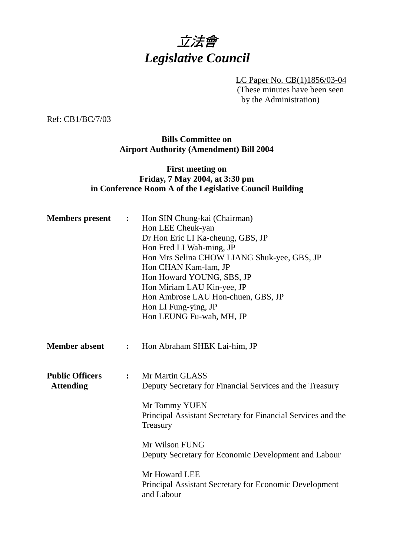

LC Paper No. CB(1)1856/03-04 (These minutes have been seen by the Administration)

Ref: CB1/BC/7/03

# **Bills Committee on Airport Authority (Amendment) Bill 2004**

# **First meeting on Friday, 7 May 2004, at 3:30 pm in Conference Room A of the Legislative Council Building**

| <b>Members</b> present                     | $\ddot{\cdot}$ | Hon SIN Chung-kai (Chairman)<br>Hon LEE Cheuk-yan<br>Dr Hon Eric LI Ka-cheung, GBS, JP<br>Hon Fred LI Wah-ming, JP<br>Hon Mrs Selina CHOW LIANG Shuk-yee, GBS, JP<br>Hon CHAN Kam-lam, JP<br>Hon Howard YOUNG, SBS, JP<br>Hon Miriam LAU Kin-yee, JP<br>Hon Ambrose LAU Hon-chuen, GBS, JP<br>Hon LI Fung-ying, JP<br>Hon LEUNG Fu-wah, MH, JP |
|--------------------------------------------|----------------|------------------------------------------------------------------------------------------------------------------------------------------------------------------------------------------------------------------------------------------------------------------------------------------------------------------------------------------------|
| <b>Member absent</b>                       | :              | Hon Abraham SHEK Lai-him, JP                                                                                                                                                                                                                                                                                                                   |
| <b>Public Officers</b><br><b>Attending</b> | $\ddot{\cdot}$ | Mr Martin GLASS<br>Deputy Secretary for Financial Services and the Treasury<br>Mr Tommy YUEN<br>Principal Assistant Secretary for Financial Services and the<br>Treasury<br>Mr Wilson FUNG<br>Deputy Secretary for Economic Development and Labour<br>Mr Howard LEE<br>Principal Assistant Secretary for Economic Development<br>and Labour    |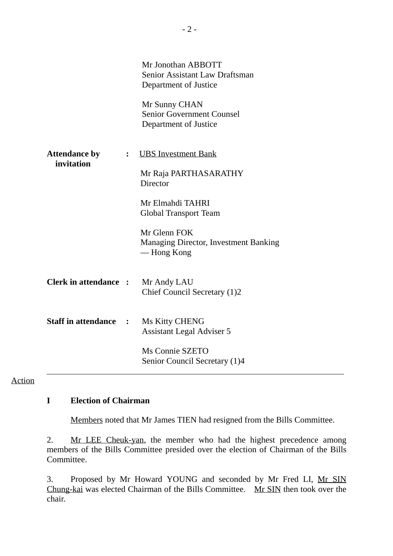|                                    |                      | Mr Jonothan ABBOTT<br>Senior Assistant Law Draftsman<br>Department of Justice<br>Mr Sunny CHAN<br><b>Senior Government Counsel</b><br>Department of Justice |
|------------------------------------|----------------------|-------------------------------------------------------------------------------------------------------------------------------------------------------------|
| <b>Attendance by</b><br>invitation | $\ddot{\phantom{a}}$ | <b>UBS</b> Investment Bank<br>Mr Raja PARTHASARATHY<br>Director                                                                                             |
|                                    |                      | Mr Elmahdi TAHRI<br><b>Global Transport Team</b>                                                                                                            |
|                                    |                      | Mr Glenn FOK<br>Managing Director, Investment Banking<br>— Hong Kong                                                                                        |
| <b>Clerk in attendance:</b>        |                      | Mr Andy LAU<br>Chief Council Secretary (1)2                                                                                                                 |
| <b>Staff in attendance</b>         | $\ddot{\cdot}$       | Ms Kitty CHENG<br><b>Assistant Legal Adviser 5</b>                                                                                                          |
|                                    |                      | Ms Connie SZETO<br>Senior Council Secretary (1)4                                                                                                            |

Action

# **I Election of Chairman**

Members noted that Mr James TIEN had resigned from the Bills Committee.

2. Mr LEE Cheuk-yan, the member who had the highest precedence among members of the Bills Committee presided over the election of Chairman of the Bills Committee.

3. Proposed by Mr Howard YOUNG and seconded by Mr Fred LI, Mr SIN Chung-kai was elected Chairman of the Bills Committee. Mr SIN then took over the chair.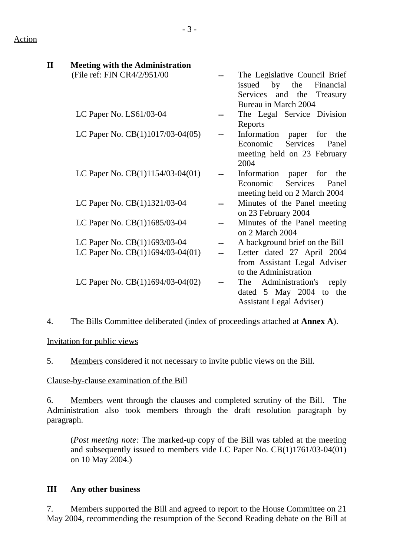| $\mathbf{I}\mathbf{I}$ | <b>Meeting with the Administration</b> |                                  |
|------------------------|----------------------------------------|----------------------------------|
|                        | (File ref: FIN CR4/2/951/00            | The Legislative Council Brief    |
|                        |                                        | issued by the<br>Financial       |
|                        |                                        | Services and the<br>Treasury     |
|                        |                                        | Bureau in March 2004             |
|                        | LC Paper No. LS61/03-04                | The Legal Service Division       |
|                        |                                        | Reports                          |
|                        | LC Paper No. $CB(1)1017/03-04(05)$     | Information<br>for the<br>paper  |
|                        |                                        | Services<br>Economic<br>Panel    |
|                        |                                        | meeting held on 23 February      |
|                        |                                        | 2004                             |
|                        | LC Paper No. $CB(1)1154/03-04(01)$     | Information paper<br>for the     |
|                        |                                        | Economic<br>Services<br>Panel    |
|                        |                                        | meeting held on 2 March 2004     |
|                        | LC Paper No. CB(1)1321/03-04           | Minutes of the Panel meeting     |
|                        |                                        | on 23 February 2004              |
|                        | LC Paper No. CB(1)1685/03-04           | Minutes of the Panel meeting     |
|                        |                                        | on 2 March 2004                  |
|                        | LC Paper No. CB(1)1693/03-04           | A background brief on the Bill   |
|                        | LC Paper No. CB(1)1694/03-04(01)       | Letter dated 27 April 2004       |
|                        |                                        | from Assistant Legal Adviser     |
|                        |                                        | to the Administration            |
|                        | LC Paper No. $CB(1)1694/03-04(02)$     | Administration's<br>reply<br>The |
|                        |                                        | dated $5$ May 2004 to<br>the     |
|                        |                                        | <b>Assistant Legal Adviser</b> ) |

4. The Bills Committee deliberated (index of proceedings attached at **Annex A**).

Invitation for public views

5. Members considered it not necessary to invite public views on the Bill.

Clause-by-clause examination of the Bill

6. Members went through the clauses and completed scrutiny of the Bill. The Administration also took members through the draft resolution paragraph by paragraph.

(*Post meeting note:* The marked-up copy of the Bill was tabled at the meeting and subsequently issued to members vide LC Paper No. CB(1)1761/03-04(01) on 10 May 2004.)

# **III Any other business**

7. Members supported the Bill and agreed to report to the House Committee on 21 May 2004, recommending the resumption of the Second Reading debate on the Bill at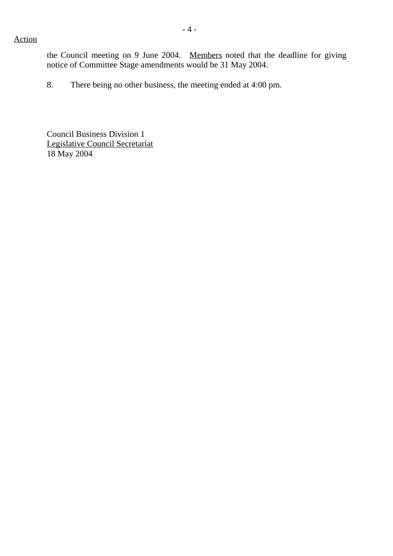### Action

the Council meeting on 9 June 2004. Members noted that the deadline for giving notice of Committee Stage amendments would be 31 May 2004.

8. There being no other business, the meeting ended at 4:00 pm.

Council Business Division 1 Legislative Council Secretariat 18 May 2004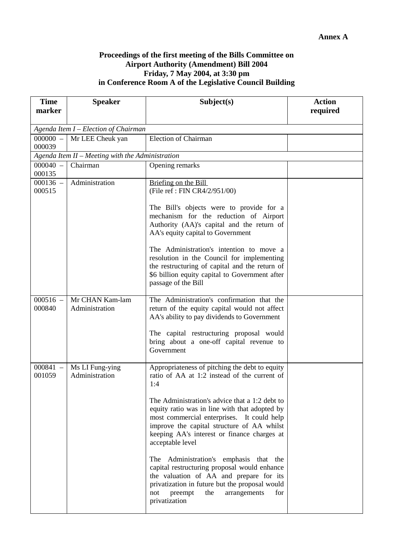#### **Proceedings of the first meeting of the Bills Committee on Airport Authority (Amendment) Bill 2004 Friday, 7 May 2004, at 3:30 pm in Conference Room A of the Legislative Council Building**

| <b>Time</b><br>marker                | <b>Speaker</b>                                   | Subject(s)                                                                                                                                                                                                                                                     | <b>Action</b> |  |  |  |  |
|--------------------------------------|--------------------------------------------------|----------------------------------------------------------------------------------------------------------------------------------------------------------------------------------------------------------------------------------------------------------------|---------------|--|--|--|--|
|                                      |                                                  |                                                                                                                                                                                                                                                                | required      |  |  |  |  |
| Agenda Item I - Election of Chairman |                                                  |                                                                                                                                                                                                                                                                |               |  |  |  |  |
| $000000 -$<br>000039                 | Mr LEE Cheuk yan                                 | <b>Election of Chairman</b>                                                                                                                                                                                                                                    |               |  |  |  |  |
|                                      | Agenda Item II - Meeting with the Administration |                                                                                                                                                                                                                                                                |               |  |  |  |  |
| $000040 -$<br>000135                 | Chairman                                         | Opening remarks                                                                                                                                                                                                                                                |               |  |  |  |  |
| $000136 -$<br>000515                 | Administration                                   | Briefing on the Bill<br>(File ref: FIN CR4/2/951/00)                                                                                                                                                                                                           |               |  |  |  |  |
|                                      |                                                  | The Bill's objects were to provide for a<br>mechanism for the reduction of Airport<br>Authority (AA)'s capital and the return of<br>AA's equity capital to Government                                                                                          |               |  |  |  |  |
|                                      |                                                  | The Administration's intention to move a<br>resolution in the Council for implementing<br>the restructuring of capital and the return of<br>\$6 billion equity capital to Government after<br>passage of the Bill                                              |               |  |  |  |  |
| $000516 -$<br>000840                 | Mr CHAN Kam-lam<br>Administration                | The Administration's confirmation that the<br>return of the equity capital would not affect<br>AA's ability to pay dividends to Government<br>The capital restructuring proposal would                                                                         |               |  |  |  |  |
|                                      |                                                  | bring about a one-off capital revenue to<br>Government                                                                                                                                                                                                         |               |  |  |  |  |
| $000841 -$<br>001059                 | Ms LI Fung-ying<br>Administration                | Appropriateness of pitching the debt to equity<br>ratio of AA at 1:2 instead of the current of<br>1:4                                                                                                                                                          |               |  |  |  |  |
|                                      |                                                  | The Administration's advice that a 1:2 debt to<br>equity ratio was in line with that adopted by<br>most commercial enterprises. It could help<br>improve the capital structure of AA whilst<br>keeping AA's interest or finance charges at<br>acceptable level |               |  |  |  |  |
|                                      |                                                  | The Administration's emphasis that the<br>capital restructuring proposal would enhance<br>the valuation of AA and prepare for its<br>privatization in future but the proposal would<br>preempt<br>the<br>arrangements<br>not<br>for<br>privatization           |               |  |  |  |  |